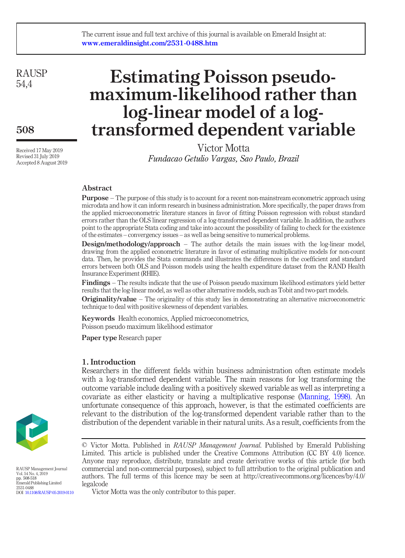## The current issue and full text archive of this journal is available on Emerald Insight at: www.emeraldinsight.com/2531-0488.htm

**RAUSP** 54,4

508

Received 17 May 2019 Revised 31 July 2019 Accepted 8 August 2019

# Estimating Poisson pseudomaximum-likelihood rather than log-linear model of a logtransformed dependent variable

Victor Motta Fundacao Getulio Vargas, Sao Paulo, Brazil

# Abstract

Purpose – The purpose of this study is to account for a recent non-mainstream econometric approach using microdata and how it can inform research in business administration. More specifically, the paper draws from the applied microeconometric literature stances in favor of fitting Poisson regression with robust standard errors rather than the OLS linear regression of a log-transformed dependent variable. In addition, the authors point to the appropriate Stata coding and take into account the possibility of failing to check for the existence of the estimates – convergency issues – as well as being sensitive to numerical problems.

Design/methodology/approach – The author details the main issues with the log-linear model, drawing from the applied econometric literature in favor of estimating multiplicative models for non-count data. Then, he provides the Stata commands and illustrates the differences in the coefficient and standard errors between both OLS and Poisson models using the health expenditure dataset from the RAND Health Insurance Experiment (RHIE).

Findings – The results indicate that the use of Poisson pseudo maximum likelihood estimators yield better results that the log-linear model, as well as other alternative models, such as Tobit and two-part models.

**Originality/value** – The originality of this study lies in demonstrating an alternative microeconometric technique to deal with positive skewness of dependent variables.

Keywords Health economics, Applied microeconometrics, Poisson pseudo maximum likelihood estimator

Paper type Research paper

# 1. Introduction

Researchers in the different fields within business administration often estimate models with a log-transformed dependent variable. The main reasons for log transforming the outcome variable include dealing with a positively skewed variable as well as interpreting a covariate as either elasticity or having a multiplicative response ([Manning, 1998\).](#page-10-0) An unfortunate consequence of this approach, however, is that the estimated coefficients are relevant to the distribution of the log-transformed dependent variable rather than to the distribution of the dependent variable in their natural units. As a result, coefficients from the



RAUSP Management Journal Vol. 54 No. 4, 2019 pp. 508-518 Emerald Publishing Limited 2531-0488 DOI [10.1108/RAUSP-05-2019-0110](http://dx.doi.org/10.1108/RAUSP-05-2019-0110)

Victor Motta was the only contributor to this paper.

<sup>©</sup> Victor Motta. Published in RAUSP Management Journal. Published by Emerald Publishing Limited. This article is published under the Creative Commons Attribution (CC BY 4.0) licence. Anyone may reproduce, distribute, translate and create derivative works of this article (for both commercial and non-commercial purposes), subject to full attribution to the original publication and authors. The full terms of this licence may be seen at http://creativecommons.org/licences/by/4.0/ legalcode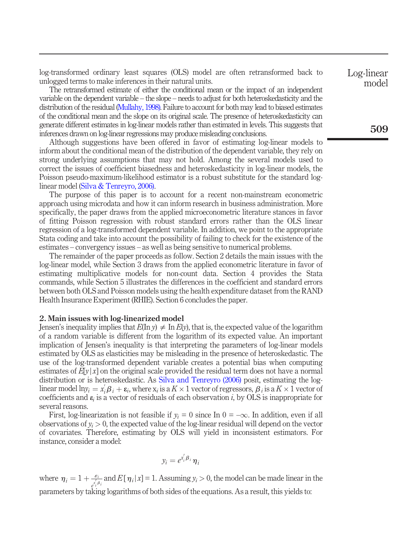log-transformed ordinary least squares (OLS) model are often retransformed back to unlogged terms to make inferences in their natural units.

The retransformed estimate of either the conditional mean or the impact of an independent variable on the dependent variable – the slope – needs to adjust for both heteroskedasticity and the distribution of the residual [\(Mullahy, 1998\)](#page-10-1). Failure to account for both may lead to biased estimates of the conditional mean and the slope on its original scale. The presence of heteroskedasticity can generate different estimates in log-linear models rather than estimated in levels. This suggests that inferences drawn on log-linear regressions may produce misleading conclusions.

Although suggestions have been offered in favor of estimating log-linear models to inform about the conditional mean of the distribution of the dependent variable, they rely on strong underlying assumptions that may not hold. Among the several models used to correct the issues of coefficient biasedness and heteroskedasticity in log-linear models, the Poisson pseudo-maximum-likelihood estimator is a robust substitute for the standard loglinear model ([Silva & Tenreyro, 2006\).](#page-10-2)

The purpose of this paper is to account for a recent non-mainstream econometric approach using microdata and how it can inform research in business administration. More specifically, the paper draws from the applied microeconometric literature stances in favor of fitting Poisson regression with robust standard errors rather than the OLS linear regression of a log-transformed dependent variable. In addition, we point to the appropriate Stata coding and take into account the possibility of failing to check for the existence of the estimates – convergency issues – as well as being sensitive to numerical problems.

The remainder of the paper proceeds as follow. Section 2 details the main issues with the log-linear model, while Section 3 draws from the applied econometric literature in favor of estimating multiplicative models for non-count data. Section 4 provides the Stata commands, while Section 5 illustrates the differences in the coefficient and standard errors between both OLS and Poisson models using the health expenditure dataset from the RAND Health Insurance Experiment (RHIE). Section 6 concludes the paper.

#### 2. Main issues with log-linearized model

Jensen's inequality implies that  $E(\ln y) \neq \ln E(y)$ , that is, the expected value of the logarithm of a random variable is different from the logarithm of its expected value. An important implication of Jensen's inequality is that interpreting the parameters of log-linear models estimated by OLS as elasticities may be misleading in the presence of heteroskedastic. The use of the log-transformed dependent variable creates a potential bias when computing estimates of  $E[y|x]$  on the original scale provided the residual term does not have a normal distribution or is heteroskedastic. As [Silva and Tenreyro \(2006\)](#page-10-2) posit, estimating the loglinear model  $\ln y_i = x_i \beta_i + \varepsilon_i$ , where  $x_i$  is a  $K \times 1$  vector of regressors,  $\beta_i$  is a  $K \times 1$  vector of coefficients and  $\varepsilon_i$  is a vector of residuals of each observation i, by OLS is inappropriate for several reasons.

First, log-linearization is not feasible if  $y_i = 0$  since In  $0 = -\infty$ . In addition, even if all observations of  $y_i > 0$ , the expected value of the log-linear residual will depend on the vector of covariates. Therefore, estimating by OLS will yield in inconsistent estimators. For instance, consider a model:

$$
y_i=e^{x_i'\beta_i}\eta_i
$$

where  $\eta_i = 1 + \frac{\varepsilon_i}{\varepsilon_i^{\frac{x}{\beta_i}}}$  and  $E[\eta_i | x] = 1$ . Assuming  $y_i > 0$ , the model can be made linear in the parameters by taking logarithms of both sides of the equations. As a result, this yields to:

Log-linear model

509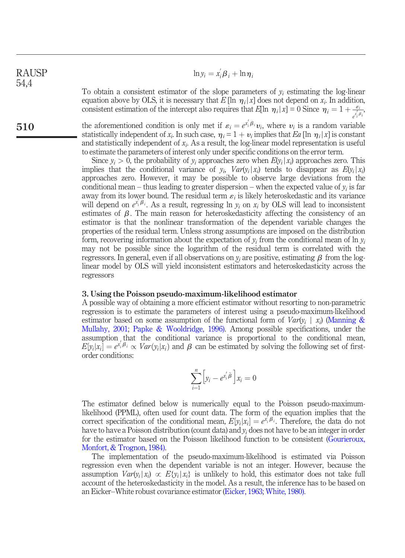$\ln y_i = x_i \beta_i + \ln \eta_i$ To obtain a consistent estimator of the slope parameters of  $y_i$  estimating the log-linear equation above by OLS, it is necessary that  $E[\ln \eta_i | x]$  does not depend on  $x_i$ . In addition, RAUSP 54,4

510

e i the aforementioned condition is only met if  $\varepsilon_i = e^{x_i' \beta_i} v_i$ , where  $v_i$  is a random variable statistically independent of  $x_i$ . In such case,  $\eta_i = 1 + v_i$  implies that Ea [ln  $\eta_i |x]$  is constant and statistically independent of  $x_i$ . As a result, the log-linear model representation is useful to estimate the parameters of interest only under specific conditions on the error term.

consistent estimation of the intercept also requires that  $E[\ln \eta_i | x] = 0$  Since  $\eta_i = 1 + \frac{\varepsilon_i}{\varepsilon_i^2 \rho_i}$ 

Since  $y_i > 0$ , the probability of  $y_i$  approaches zero when  $E(y_i | x_i)$  approaches zero. This implies that the conditional variance of  $y_i$ ,  $Var(y_i|x_i)$  tends to disappear as  $E(y_i|x_i)$ approaches zero. However, it may be possible to observe large deviations from the conditional mean – thus leading to greater dispersion – when the expected value of  $y_i$  is far away from its lower bound. The residual term  $\varepsilon_i$  is likely heteroskedastic and its variance will depend on  $e^{x_i^t \beta_i}$ . As a result, regressing ln  $y_i$  on  $x_i$  by OLS will lead to inconsistent estimates of  $\beta$ . The main reason for heteroskedasticity affecting the consistency of an estimator is that the nonlinear transformation of the dependent variable changes the properties of the residual term. Unless strong assumptions are imposed on the distribution form, recovering information about the expectation of  $y_i$  from the conditional mean of ln  $y_i$ may not be possible since the logarithm of the residual term is correlated with the regressors. In general, even if all observations on  $y_i$  are positive, estimating  $\beta$  from the loglinear model by OLS will yield inconsistent estimators and heteroskedasticity across the regressors

#### 3. Using the Poisson pseudo-maximum-likelihood estimator

A possible way of obtaining a more efficient estimator without resorting to non-parametric regression is to estimate the parameters of interest using a pseudo-maximum-likelihood estimator based on some assumption of the functional form of  $Var(y_i | x_i)$  ([Manning &](#page-10-3) [Mullahy, 2001;](#page-10-3) [Papke & Wooldridge, 1996\).](#page-10-4) Among possible specifications, under the assumption that the conditional variance is proportional to the conditional mean,  $E[y_i|x_i] = e^{x_i'\beta_i} \propto Var(y_i|x_i)$  and  $\beta$  can be estimated by solving the following set of firstorder conditions:

$$
\sum_{i=1}^{n} \left[ y_i - e^{x_i^{\prime} \tilde{\beta}} \right] x_i = 0
$$

The estimator defined below is numerically equal to the Poisson pseudo-maximumlikelihood (PPML), often used for count data. The form of the equation implies that the correct specification of the conditional mean,  $E[y_i|x_i] = e^{x_i^t \beta_i}$ . Therefore, the data do not have to have a Poisson distribution (count data) and  $y_i$  does not have to be an integer in order for the estimator based on the Poisson likelihood function to be consistent ([Gourieroux,](#page-10-5) [Monfort, & Trognon, 1984\).](#page-10-5)

The implementation of the pseudo-maximum-likelihood is estimated via Poisson regression even when the dependent variable is not an integer. However, because the assumption  $Var(y_i|x_i) \propto E\{y_i|x_i\}$  is unlikely to hold, this estimator does not take full account of the heteroskedasticity in the model. As a result, the inference has to be based on an Eicker–White robust covariance estimator ([Eicker, 1963;](#page-10-6) [White, 1980\)](#page-10-7).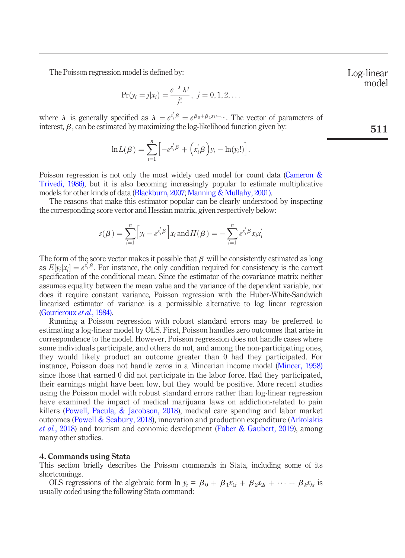The Poisson regression model is defined by:

$$
Pr(y_i = j | x_i) = \frac{e^{-\lambda} \lambda^j}{j!}, \ j = 0, 1, 2, \dots
$$

where  $\lambda$  is generally specified as  $\lambda = e^{x_i/\beta} = e^{\beta_0 + \beta_1 x_{1i} + \cdots}$ . The vector of parameters of interest,  $\beta$ , can be estimated by maximizing the log-likelihood function given by:

$$
\ln L(\beta) = \sum_{i=1}^n \left[ -e^{x_i^{\prime} \beta} + (x_i^{\prime} \beta) y_i - \ln(y_i!) \right].
$$

Poisson regression is not only the most widely used model for count data [\(Cameron &](#page-9-0) [Trivedi, 1986\),](#page-9-0) but it is also becoming increasingly popular to estimate multiplicative models for other kinds of data ([Blackburn, 2007](#page-9-1); [Manning & Mullahy, 2001\)](#page-10-3).

The reasons that make this estimator popular can be clearly understood by inspecting the corresponding score vector and Hessian matrix, given respectively below:

$$
s(\boldsymbol{\beta}) = \sum_{i=1}^n \left[ y_i - e^{x_i^{\prime} \boldsymbol{\beta}} \right] x_i \text{ and } H(\boldsymbol{\beta}) = - \sum_{i=1}^n e^{x_i^{\prime} \boldsymbol{\beta}} x_i x_i^{\prime}
$$

The form of the score vector makes it possible that  $\beta$  will be consistently estimated as long as  $E[y_i | x_i] = e^{x_i/\beta}$ . For instance, the only condition required for consistency is the correct specification of the conditional mean. Since the estimator of the covariance matrix neither assumes equality between the mean value and the variance of the dependent variable, nor does it require constant variance, Poisson regression with the Huber-White-Sandwich linearized estimator of variance is a permissible alternative to log linear regression [\(Gourieroux](#page-10-5) et al., 1984).

Running a Poisson regression with robust standard errors may be preferred to estimating a log-linear model by OLS. First, Poisson handles zero outcomes that arise in correspondence to the model. However, Poisson regression does not handle cases where some individuals participate, and others do not, and among the non-participating ones, they would likely product an outcome greater than 0 had they participated. For instance, Poisson does not handle zeros in a Mincerian income model ([Mincer, 1958\)](#page-10-8) since those that earned 0 did not participate in the labor force. Had they participated, their earnings might have been low, but they would be positive. More recent studies using the Poisson model with robust standard errors rather than log-linear regression have examined the impact of medical marijuana laws on addiction-related to pain killers [\(Powell, Pacula, & Jacobson, 2018](#page-10-9)), medical care spending and labor market outcomes [\(Powell & Seabury, 2018\)](#page-10-10), innovation and production expenditure [\(Arkolakis](#page-9-2) *et al.*[, 2018](#page-9-2)) and tourism and economic development ([Faber & Gaubert, 2019](#page-10-11)), among many other studies.

## 4. Commands using Stata

This section briefly describes the Poisson commands in Stata, including some of its shortcomings.

OLS regressions of the algebraic form  $\ln y_i = \beta_0 + \beta_1 x_{1i} + \beta_2 x_{2i} + \cdots + \beta_k x_{ki}$  is usually coded using the following Stata command:

Log-linear model

511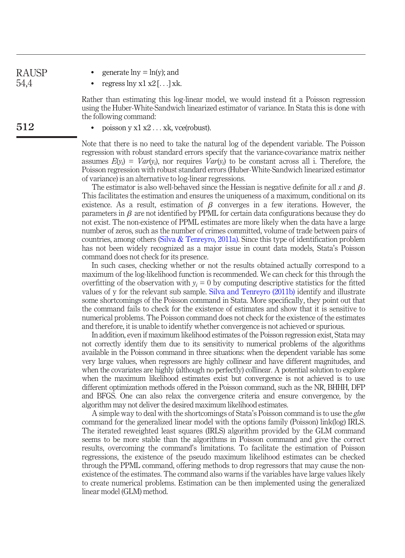RAUSP 54,4

512

- generate  $ln y = ln(y)$ ; and
- regress  $\ln y \ge 1 \ge 2$  [...] xk.

Rather than estimating this log-linear model, we would instead fit a Poisson regression using the Huber-White-Sandwich linearized estimator of variance. In Stata this is done with the following command:

poisson y x1 x2 ... xk, vce(robust).

Note that there is no need to take the natural log of the dependent variable. The Poisson regression with robust standard errors specify that the variance-covariance matrix neither assumes  $E(y_i) = Var(y_i)$ , nor requires  $Var(y_i)$  to be constant across all i. Therefore, the Poisson regression with robust standard errors (Huber-White-Sandwich linearized estimator of variance) is an alternative to log-linear regressions.

The estimator is also well-behaved since the Hessian is negative definite for all x and  $\beta$ . This facilitates the estimation and ensures the uniqueness of a maximum, conditional on its existence. As a result, estimation of  $\beta$  converges in a few iterations. However, the parameters in  $\beta$  are not identified by PPML for certain data configurations because they do not exist. The non-existence of PPML estimates are more likely when the data have a large number of zeros, such as the number of crimes committed, volume of trade between pairs of countries, among others [\(Silva & Tenreyro, 2011a\).](#page-10-12) Since this type of identification problem has not been widely recognized as a major issue in count data models, Stata's Poisson command does not check for its presence.

In such cases, checking whether or not the results obtained actually correspond to a maximum of the log-likelihood function is recommended. We can check for this through the overfitting of the observation with  $y_i = 0$  by computing descriptive statistics for the fitted values of y for the relevant sub sample. [Silva and Tenreyro \(2011b\)](#page-10-13) identify and illustrate some shortcomings of the Poisson command in Stata. More specifically, they point out that the command fails to check for the existence of estimates and show that it is sensitive to numerical problems. The Poisson command does not check for the existence of the estimates and therefore, it is unable to identify whether convergence is not achieved or spurious.

In addition, even if maximum likelihood estimates of the Poisson regression exist, Stata may not correctly identify them due to its sensitivity to numerical problems of the algorithms available in the Poisson command in three situations: when the dependent variable has some very large values, when regressors are highly collinear and have different magnitudes, and when the covariates are highly (although no perfectly) collinear. A potential solution to explore when the maximum likelihood estimates exist but convergence is not achieved is to use different optimization methods offered in the Poisson command, such as the NR, BHHH, DFP and BFGS. One can also relax the convergence criteria and ensure convergence, by the algorithm may not deliver the desired maximum likelihood estimates.

A simple way to deal with the shortcomings of Stata's Poisson command is to use the  $glm$ command for the generalized linear model with the options family (Poisson) link(log) IRLS. The iterated reweighted least squares (IRLS) algorithm provided by the GLM command seems to be more stable than the algorithms in Poisson command and give the correct results, overcoming the command's limitations. To facilitate the estimation of Poisson regressions, the existence of the pseudo maximum likelihood estimates can be checked through the PPML command, offering methods to drop regressors that may cause the nonexistence of the estimates. The command also warns if the variables have large values likely to create numerical problems. Estimation can be then implemented using the generalized linear model (GLM) method.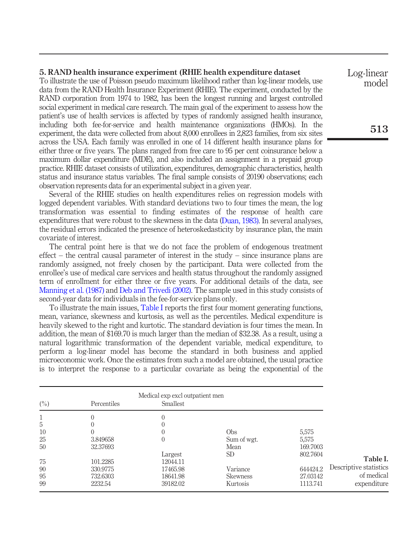#### 5. RAND health insurance experiment (RHIE health expenditure dataset

To illustrate the use of Poisson pseudo maximum likelihood rather than log-linear models, use data from the RAND Health Insurance Experiment (RHIE). The experiment, conducted by the RAND corporation from 1974 to 1982, has been the longest running and largest controlled social experiment in medical care research. The main goal of the experiment to assess how the patient's use of health services is affected by types of randomly assigned health insurance, including both fee-for-service and health maintenance organizations (HMOs). In the experiment, the data were collected from about 8,000 enrollees in 2,823 families, from six sites across the USA. Each family was enrolled in one of 14 different health insurance plans for either three or five years. The plans ranged from free care to 95 per cent coinsurance below a maximum dollar expenditure (MDE), and also included an assignment in a prepaid group practice. RHIE dataset consists of utilization, expenditures, demographic characteristics, health status and insurance status variables. The final sample consists of 20190 observations; each observation represents data for an experimental subject in a given year.

Several of the RHIE studies on health expenditures relies on regression models with logged dependent variables. With standard deviations two to four times the mean, the log transformation was essential to finding estimates of the response of health care expenditures that were robust to the skewness in the data [\(Duan, 1983\)](#page-10-14). In several analyses, the residual errors indicated the presence of heteroskedasticity by insurance plan, the main covariate of interest.

The central point here is that we do not face the problem of endogenous treatment effect – the central causal parameter of interest in the study – since insurance plans are randomly assigned, not freely chosen by the participant. Data were collected from the enrollee's use of medical care services and health status throughout the randomly assigned term of enrollment for either three or five years. For additional details of the data, see [Manning et al. \(1987\)](#page-10-15) and [Deb and Trivedi \(2002\).](#page-9-3) The sample used in this study consists of second-year data for individuals in the fee-for-service plans only.

To illustrate the main issues, [Table I](#page-5-0) reports the first four moment generating functions, mean, variance, skewness and kurtosis, as well as the percentiles. Medical expenditure is heavily skewed to the right and kurtotic. The standard deviation is four times the mean. In addition, the mean of \$169.70 is much larger than the median of \$32.38. As a result, using a natural logarithmic transformation of the dependent variable, medical expenditure, to perform a log-linear model has become the standard in both business and applied microeconomic work. Once the estimates from such a model are obtained, the usual practice is to interpret the response to a particular covariate as being the exponential of the

<span id="page-5-0"></span>

| (%) | Percentiles | Medical exp excl outpatient men<br>Smallest |                 |          |                        |
|-----|-------------|---------------------------------------------|-----------------|----------|------------------------|
|     |             | $\theta$                                    |                 |          |                        |
| 5   |             | 0                                           |                 |          |                        |
| 10  |             | $\theta$                                    | <b>Obs</b>      | 5,575    |                        |
| 25  | 3.849658    | $\mathbf{0}$                                | Sum of wgt.     | 5,575    |                        |
| 50  | 32.37693    |                                             | Mean            | 169.7003 |                        |
|     |             | Largest                                     | SD.             | 802.7604 |                        |
| 75  | 101.2285    | 12044.11                                    |                 |          | Table I.               |
| 90  | 330.9775    | 17465.98                                    | Variance        | 644424.2 | Descriptive statistics |
| 95  | 732.6303    | 18641.98                                    | <b>Skewness</b> | 27.03142 | of medical             |
| 99  | 2232.54     | 39182.02                                    | Kurtosis        | 1113.741 | expenditure            |

Log-linear model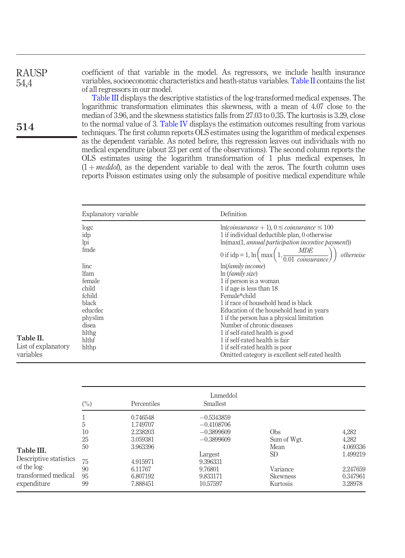coefficient of that variable in the model. As regressors, we include health insurance variables, socioeconomic characteristics and heath-status variables. [Table II](#page-6-0) contains the list of all regressors in our model.

[Table III](#page-6-1) displays the descriptive statistics of the log-transformed medical expenses. The logarithmic transformation eliminates this skewness, with a mean of 4.07 close to the median of 3.96, and the skewness statistics falls from 27.03 to 0.35. The kurtosis is 3.29, close to the normal value of 3. [Table IV](#page-7-0) displays the estimation outcomes resulting from various techniques. The first column reports OLS estimates using the logarithm of medical expenses as the dependent variable. As noted before, this regression leaves out individuals with no medical expenditure (about 23 per cent of the observations). The second column reports the OLS estimates using the logarithm transformation of 1 plus medical expenses, ln  $(1 + \text{meddol})$ , as the dependent variable to deal with the zeros. The fourth column uses reports Poisson estimates using only the subsample of positive medical expenditure while

| logc        | $ln(coinsure + 1)$ , $0 \leq coinsure \leq 100$                                                   |
|-------------|---------------------------------------------------------------------------------------------------|
| idp         | 1 if individual deductible plan, 0 otherwise                                                      |
| lpi         | $ln(max(1, annual participation incentive payment))$                                              |
| fmde        | 0 if idp = 1, ln $\left(\max\left(1,\frac{MDE}{0.01 \text{ coin}surface}\right)\right)$ otherwise |
| linc        | ln( <i>family income</i> )                                                                        |
| <b>Ifam</b> | ln(family size)                                                                                   |
| female      | 1 if person is a woman                                                                            |
| child       | 1 if age is less than 18                                                                          |
| fchild      | Female*child                                                                                      |
| black       | 1 if race of household head is black                                                              |
| educdec     | Education of the household head in years                                                          |
| physlim     | 1 if the person has a physical limitation                                                         |
| disea       | Number of chronic diseases                                                                        |
| hlthg       | 1 if self-rated health is good                                                                    |
| hlthf       | 1 if self-rated health is fair                                                                    |
| hlthp       | 1 if self-rated health is poor                                                                    |
|             | Omitted category is excellent self-rated health                                                   |

<span id="page-6-0"></span>

| Table II |  |
|----------|--|
|          |  |

RAUSP 54,4

514

List of explanato variables

<span id="page-6-1"></span>

|                                                                                           | $(\%)$                                      | <b>Percentiles</b>                                                                                      | Lnmeddol<br><b>Smallest</b>                                                                                            |                                                                                                |                                                                           |
|-------------------------------------------------------------------------------------------|---------------------------------------------|---------------------------------------------------------------------------------------------------------|------------------------------------------------------------------------------------------------------------------------|------------------------------------------------------------------------------------------------|---------------------------------------------------------------------------|
| Table III.<br>Descriptive statistics<br>of the log-<br>transformed medical<br>expenditure | 5<br>10<br>25<br>50<br>75<br>90<br>95<br>99 | 0.746548<br>1.749707<br>2.238203<br>3.059381<br>3.963396<br>4.915971<br>6.11767<br>6.807192<br>7.888451 | $-0.5343859$<br>$-0.4108706$<br>$-0.3899609$<br>$-0.3899609$<br>Largest<br>9.396331<br>9.76801<br>9.833171<br>10.57597 | O <sub>bs</sub><br>Sum of Wgt.<br>Mean<br><b>SD</b><br>Variance<br><b>Skewness</b><br>Kurtosis | 4,282<br>4,282<br>4.069336<br>1.499219<br>2.247659<br>0.347961<br>3.28978 |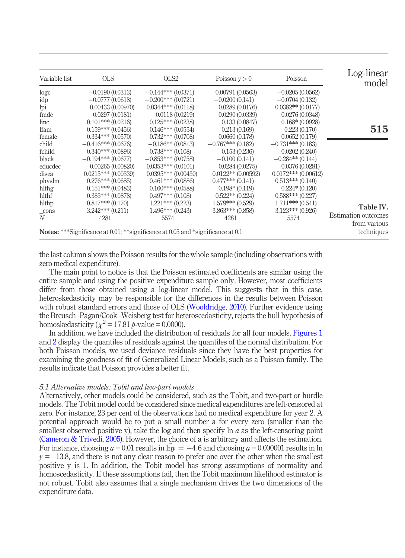| Log-linear<br>model        | Poisson                                                                                | Poisson $v > 0$      | OLS <sub>2</sub>        | <b>OLS</b>           | Variable list |
|----------------------------|----------------------------------------------------------------------------------------|----------------------|-------------------------|----------------------|---------------|
|                            | $-0.0205(0.0562)$                                                                      | 0.00791(0.0563)      | $-0.144***(0.0371)$     | $-0.0190(0.0313)$    | logc          |
|                            | $-0.0704(0.132)$                                                                       | $-0.0200(0.141)$     | $-0.200***(0.0721)$     | $-0.0777(0.0618)$    | idp           |
|                            | $0.0382**$ (0.0177)                                                                    | 0.0289(0.0176)       | $0.0344***$ (0.0118)    | 0.00433(0.00970)     | lpi           |
|                            | $-0.0276(0.0348)$                                                                      | $-0.0290(0.0339)$    | $-0.0118(0.0219)$       | $-0.0297(0.0181)$    | fmde          |
|                            | $0.168*(0.0928)$                                                                       | 0.133(0.0847)        | $0.125***(0.0238)$      | $0.101***(0.0216)$   | linc          |
| 515                        | $-0.223(0.170)$                                                                        | $-0.213(0.169)$      | $-0.146***(0.0554)$     | $-0.159***(0.0456)$  | <b>Ifam</b>   |
|                            | 0.0652(0.179)                                                                          | $-0.0660(0.178)$     | $0.732***$ (0.0708)     | $0.334***(0.0570)$   | female        |
|                            | $-0.731***$ (0.183)                                                                    | $-0.767***$ (0.182)  | $-0.186**$ (0.0813)     | $-0.416***(0.0676)$  | child         |
|                            | 0.0202(0.240)                                                                          | 0.153(0.236)         | $-0.738***$ (0.108)     | $-0.340***(0.0896)$  | fchild        |
|                            | $-0.284**$ (0.144)                                                                     | $-0.100(0.141)$      | $-0.853***(0.0758)$     | $-0.194***(0.0677)$  | black         |
|                            | 0.0376(0.0281)                                                                         | 0.0284(0.0275)       | $0.0353***(0.0101)$     | $-0.00265(0.00820)$  | educdec       |
|                            | $0.0172$ *** $(0.00612)$                                                               | $0.0122**$ (0.00592) | $0.0395***$ $(0.00430)$ | $0.0215***(0.00339)$ | disea         |
|                            | $0.513***(0.140)$                                                                      | $0.477***(0.141)$    | $0.461***(0.0886)$      | $0.276***(0.0685)$   | physlm        |
|                            | $0.224*(0.120)$                                                                        | $0.198*(0.119)$      | $0.160***(0.0588)$      | $0.151***(0.0483)$   | hlthg         |
|                            | $0.588***(0.227)$                                                                      | $0.522**$ $(0.224)$  | $0.497***(0.108)$       | $0.383***(0.0878)$   | hlthf         |
|                            | $1.711***$ (0.541)                                                                     | $1.579***$ (0.529)   | $1.221***(0.223)$       | $0.817***(0.170)$    | hlthp         |
| Table IV.                  | $3.123***(0.926)$                                                                      | $3.863***(0.858)$    | $1.496***(0.243)$       | $3.242***(0.211)$    | $_{\rm cons}$ |
| <b>Estimation</b> outcomes | 5574                                                                                   | 4281                 | 5574                    | 4281                 | N             |
| from various               |                                                                                        |                      |                         |                      |               |
| techniques                 | <b>Notes:</b> ***Significance at 0.01; **significance at 0.05 and *significance at 0.1 |                      |                         |                      |               |

<span id="page-7-0"></span>the last column shows the Poisson results for the whole sample (including observations with zero medical expenditure).

The main point to notice is that the Poisson estimated coefficients are similar using the entire sample and using the positive expenditure sample only. However, most coefficients differ from those obtained using a log-linear model. This suggests that in this case, heteroskedasticity may be responsible for the differences in the results between Poisson with robust standard errors and those of OLS [\(Wooldridge, 2010\).](#page-10-16) Further evidence using the Breusch–Pagan/Cook–Weisberg test for heteroscedasticity, rejects the hull hypothesis of homoskedasticity ( $\chi^2$  = 17.81 p-value = 0.0000).

In addition, we have included the distribution of residuals for all four models. [Figures 1](#page-8-0) and [2](#page-8-1) display the quantiles of residuals against the quantiles of the normal distribution. For both Poisson models, we used deviance residuals since they have the best properties for examining the goodness of fit of Generalized Linear Models, such as a Poisson family. The results indicate that Poisson provides a better fit.

## 5.1 Alternative models: Tobit and two-part models

Alternatively, other models could be considered, such as the Tobit, and two-part or hurdle models. The Tobit model could be considered since medical expenditures are left-censored at zero. For instance, 23 per cent of the observations had no medical expenditure for year 2. A potential approach would be to put a small number a for every zero (smaller than the smallest observed positive y), take the log and then specify  $\ln a$  as the left-censoring point [\(Cameron & Trivedi, 2005\)](#page-9-4). However, the choice of a is arbitrary and affects the estimation. For instance, choosing  $a = 0.01$  results in  $ln y = -4.6$  and choosing  $a = 0.000001$  results in ln  $y = -13.8$ , and there is not any clear reason to prefer one over the other when the smallest positive y is 1. In addition, the Tobit model has strong assumptions of normality and homoscedasticity. If these assumptions fail, then the Tobit maximum likelihood estimator is not robust. Tobit also assumes that a single mechanism drives the two dimensions of the expenditure data.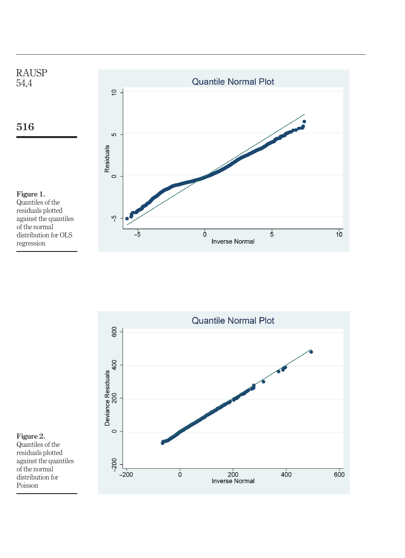

<span id="page-8-0"></span>

<span id="page-8-1"></span>Figure 2. Quantiles of the residuals plotted against the quantiles of the normal distribution for Poisson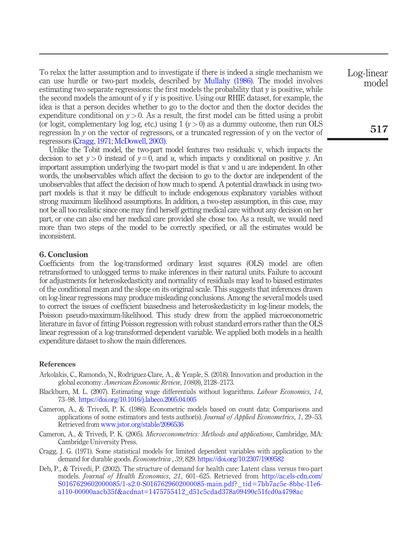To relax the latter assumption and to investigate if there is indeed a single mechanism we can use hurdle or two-part models, described by [Mullahy \(1986\).](#page-10-17) The model involves estimating two separate regressions: the first models the probability that y is positive, while the second models the amount of y if y is positive. Using our RHIE dataset, for example, the idea is that a person decides whether to go to the doctor and then the doctor decides the expenditure conditional on  $y > 0$ . As a result, the first model can be fitted using a probit (or logit, complementary log log, etc.) using  $1 (y > 0)$  as a dummy outcome, then run OLS regression ln y on the vector of regressors, or a truncated regression of y on the vector of regressors [\(Cragg, 1971;](#page-9-5) [McDowell, 2003\).](#page-10-18)

Unlike the Tobit model, the two-part model features two residuals: v, which impacts the decision to set  $y>0$  instead of  $y=0$ , and u, which impacts y conditional on positive y. An important assumption underlying the two-part model is that v and u are independent. In other words, the unobservables which affect the decision to go to the doctor are independent of the unobservables that affect the decision of how much to spend. A potential drawback in using twopart models is that it may be difficult to include endogenous explanatory variables without strong maximum likelihood assumptions. In addition, a two-step assumption, in this case, may not be all too realistic since one may find herself getting medical care without any decision on her part, or one can also end her medical care provided she chose too. As a result, we would need more than two steps of the model to be correctly specified, or all the estimates would be inconsistent.

## 6. Conclusion

Coefficients from the log-transformed ordinary least squares (OLS) model are often retransformed to unlogged terms to make inferences in their natural units. Failure to account for adjustments for heteroskedasticity and normality of residuals may lead to biased estimates of the conditional mean and the slope on its original scale. This suggests that inferences drawn on log-linear regressions may produce misleading conclusions. Among the several models used to correct the issues of coefficient biasedness and heteroskedasticity in log-linear models, the Poisson pseudo-maximum-likelihood. This study drew from the applied microeconometric literature in favor of fitting Poisson regression with robust standard errors rather than the OLS linear regression of a log-transformed dependent variable. We applied both models in a health expenditure dataset to show the main differences.

## References

- <span id="page-9-2"></span>Arkolakis, C., Ramondo, N., Rodríguez-Clare, A., & Yeaple, S. (2018). Innovation and production in the global economy. American Economic Review, 108(8), 2128–2173.
- <span id="page-9-1"></span>Blackburn, M. L. (2007). Estimating wage differentials without logarithms. Labour Economics, 14, 73–98. <https://doi.org/10.1016/j.labeco.2005.04.005>
- <span id="page-9-0"></span>Cameron, A., & Trivedi, P. K. (1986). Econometric models based on count data: Comparisons and applications of some estimators and tests author(s). Journal of Applied Econometrics, 1, 29–53. Retrieved from [www.jstor.org/stable/2096536](http://www.jstor.org/stable/2096536)
- <span id="page-9-4"></span>Cameron, A., & Trivedi, P. K. (2005). Microeconometrics: Methods and applications, Cambridge, MA: Cambridge University Press.
- <span id="page-9-5"></span>Cragg, J. G. (1971). Some statistical models for limited dependent variables with application to the demand for durable goods. Econometrica , 39, 829. <https://doi.org/10.2307/1909582>
- <span id="page-9-3"></span>Deb, P., & Trivedi, P. (2002). The structure of demand for health care: Latent class versus two-part models. Journal of Health Economics, 21, 601–625. Retrieved from [http://ac.els-cdn.com/](http://ac.els-cdn.com/S0167629602000085/1-s2.0-S0167629602000085-main.pdf?_tid=7bb7ac5e-8bbc-11e6-a110-00000aacb35f&acdnat=1475755412_d51c5cdad378a09490c51fcd0a4798ac) [S0167629602000085/1-s2.0-S0167629602000085-main.pdf? \\_ tid=7bb7ac5e-8bbc-11e6](http://ac.els-cdn.com/S0167629602000085/1-s2.0-S0167629602000085-main.pdf?_tid=7bb7ac5e-8bbc-11e6-a110-00000aacb35f&acdnat=1475755412_d51c5cdad378a09490c51fcd0a4798ac) [a110-00000aacb35f&acdnat=1475755412\\_d51c5cdad378a09490c51fcd0a4798ac](http://ac.els-cdn.com/S0167629602000085/1-s2.0-S0167629602000085-main.pdf?_tid=7bb7ac5e-8bbc-11e6-a110-00000aacb35f&acdnat=1475755412_d51c5cdad378a09490c51fcd0a4798ac)

Log-linear model